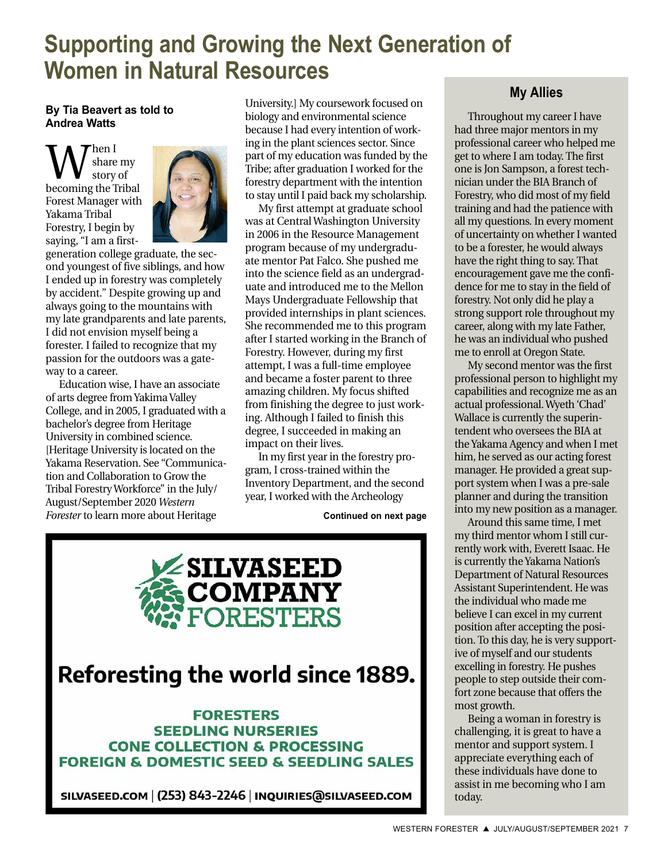# **Supporting and Growing the Next Generation of Women in Natural Resources**

#### **By Tia Beavert as told to Andrea Watts**

 $\sum_{\rm story\ of}^{\rm hen\ I}_{\rm story\ of}$ share my story of Forest Manager with Yakama Tribal Forestry, I begin by saying, "I am a first-



generation college graduate, the second youngest of five siblings, and how I ended up in forestry was completely by accident." Despite growing up and always going to the mountains with my late grandparents and late parents, I did not envision myself being a forester. I failed to recognize that my passion for the outdoors was a gateway to a career.

Education wise, I have an associate of arts degree from Yakima Valley College, and in 2005, I graduated with a bachelor's degree from Heritage University in combined science. [Heritage University is located on the Yakama Reservation. See "Communication and Collaboration to Grow the Tribal Forestry Workforce" in the July/ August/September 2020 *Western Forester* to learn more about Heritage

University.] My coursework focused on biology and environmental science because I had every intention of working in the plant sciences sector. Since part of my education was funded by the Tribe; after graduation I worked for the forestry department with the intention to stay until I paid back my scholarship.

My first attempt at graduate school was at Central Washington University in 2006 in the Resource Management program because of my undergraduate mentor Pat Falco. She pushed me into the science field as an undergraduate and introduced me to the Mellon Mays Undergraduate Fellowship that provided internships in plant sciences. She recommended me to this program after I started working in the Branch of Forestry. However, during my first attempt, I was a full-time employee and became a foster parent to three amazing children. My focus shifted from finishing the degree to just working. Although I failed to finish this degree, I succeeded in making an impact on their lives.

In my first year in the forestry program, I cross-trained within the Inventory Department, and the second year, I worked with the Archeology

**Continued on next page**



SILVASEED.COM | (253) 843-2246 | INQUIRIES @ SILVASEED.COM

### **My Allies**

Throughout my career I have had three major mentors in my professional career who helped me get to where I am today. The first one is Jon Sampson, a forest technician under the BIA Branch of Forestry, who did most of my field training and had the patience with all my questions. In every moment of uncertainty on whether I wanted to be a forester, he would always have the right thing to say. That encouragement gave me the confidence for me to stay in the field of forestry. Not only did he play a strong support role throughout my career, along with my late Father, he was an individual who pushed me to enroll at Oregon State.

My second mentor was the first professional person to highlight my capabilities and recognize me as an actual professional. Wyeth 'Chad' Wallace is currently the superintendent who oversees the BIA at the Yakama Agency and when I met him, he served as our acting forest manager. He provided a great support system when I was a pre-sale planner and during the transition into my new position as a manager.

Around this same time, I met my third mentor whom I still currently work with, Everett Isaac. He is currently the Yakama Nation's Department of Natural Resources Assistant Superintendent. He was the individual who made me believe I can excel in my current position after accepting the position. To this day, he is very supportive of myself and our students excelling in forestry. He pushes people to step outside their comfort zone because that offers the most growth.

Being a woman in forestry is challenging, it is great to have a mentor and support system. I appreciate everything each of these individuals have done to assist in me becoming who I am today.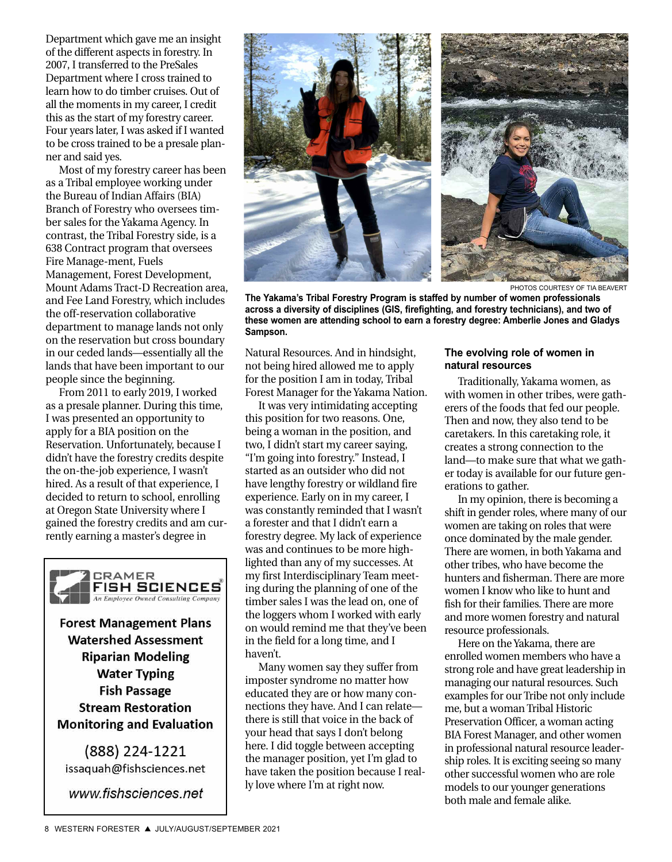Department which gave me an insight of the different aspects in forestry. In 2007, I transferred to the PreSales Department where I cross trained to learn how to do timber cruises. Out of all the moments in my career, I credit this as the start of my forestry career. Four years later, I was asked if I wanted to be cross trained to be a presale planner and said yes.

Most of my forestry career has been as a Tribal employee working under the Bureau of Indian Affairs (BIA) Branch of Forestry who oversees timber sales for the Yakama Agency. In contrast, the Tribal Forestry side, is a 638 Contract program that oversees Fire Manage-ment, Fuels Management, Forest Development, Mount Adams Tract-D Recreation area, and Fee Land Forestry, which includes the off-reservation collaborative department to manage lands not only on the reservation but cross boundary in our ceded lands—essentially all the lands that have been important to our people since the beginning.

From 2011 to early 2019, I worked as a presale planner. During this time, I was presented an opportunity to apply for a BIA position on the Reservation. Unfortunately, because I didn't have the forestry credits despite the on-the-job experience, I wasn't hired. As a result of that experience, I decided to return to school, enrolling at Oregon State University where I gained the forestry credits and am currently earning a master's degree in



**Forest Management Plans Watershed Assessment Riparian Modeling Water Typing Fish Passage Stream Restoration Monitoring and Evaluation** 

(888) 224-1221 issaquah@fishsciences.net

www.fishsciences.net



PHOTOS COURTESY OF TIA BEAVERT

**The Yakama's Tribal Forestry Program is staffed by number of women professionals across a diversity of disciplines (GIS, firefighting, and forestry technicians), and two of these women are attending school to earn a forestry degree: Amberlie Jones and Gladys Sampson.**

Natural Resources. And in hindsight, not being hired allowed me to apply for the position I am in today, Tribal Forest Manager for the Yakama Nation.

It was very intimidating accepting this position for two reasons. One, being a woman in the position, and two, I didn't start my career saying, "I'm going into forestry." Instead, I started as an outsider who did not have lengthy forestry or wildland fire experience. Early on in my career, I was constantly reminded that I wasn't a forester and that I didn't earn a forestry degree. My lack of experience was and continues to be more highlighted than any of my successes. At my first Interdisciplinary Team meeting during the planning of one of the timber sales I was the lead on, one of the loggers whom I worked with early on would remind me that they've been in the field for a long time, and I haven't.

Many women say they suffer from imposter syndrome no matter how educated they are or how many connections they have. And I can relate there is still that voice in the back of your head that says I don't belong here. I did toggle between accepting the manager position, yet I'm glad to have taken the position because I really love where I'm at right now.

#### **The evolving role of women in natural resources**

Traditionally, Yakama women, as with women in other tribes, were gatherers of the foods that fed our people. Then and now, they also tend to be caretakers. In this caretaking role, it creates a strong connection to the land—to make sure that what we gather today is available for our future generations to gather.

In my opinion, there is becoming a shift in gender roles, where many of our women are taking on roles that were once dominated by the male gender. There are women, in both Yakama and other tribes, who have become the hunters and fisherman. There are more women I know who like to hunt and fish for their families. There are more and more women forestry and natural resource professionals.

Here on the Yakama, there are enrolled women members who have a strong role and have great leadership in managing our natural resources. Such examples for our Tribe not only include me, but a woman Tribal Historic Preservation Officer, a woman acting BIA Forest Manager, and other women in professional natural resource leadership roles. It is exciting seeing so many other successful women who are role models to our younger generations both male and female alike.